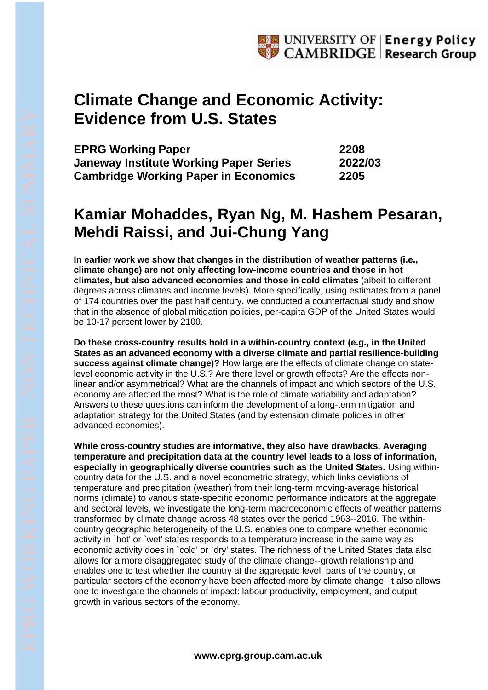## **Climate Change and Economic Activity: Evidence from U.S. States**

| <b>EPRG Working Paper</b>                     | 2208    |
|-----------------------------------------------|---------|
| <b>Janeway Institute Working Paper Series</b> | 2022/03 |
| <b>Cambridge Working Paper in Economics</b>   | 2205    |

## **Kamiar Mohaddes, Ryan Ng, M. Hashem Pesaran, Mehdi Raissi, and Jui-Chung Yang**

**In earlier work we show that changes in the distribution of weather patterns (i.e., climate change) are not only affecting low-income countries and those in hot climates, but also advanced economies and those in cold climates** (albeit to different degrees across climates and income levels). More specifically, using estimates from a panel of 174 countries over the past half century, we conducted a counterfactual study and show that in the absence of global mitigation policies, per-capita GDP of the United States would be 10-17 percent lower by 2100.

**Do these cross-country results hold in a within-country context (e.g., in the United States as an advanced economy with a diverse climate and partial resilience-building success against climate change)?** How large are the effects of climate change on statelevel economic activity in the U.S.? Are there level or growth effects? Are the effects nonlinear and/or asymmetrical? What are the channels of impact and which sectors of the U.S. economy are affected the most? What is the role of climate variability and adaptation? Answers to these questions can inform the development of a long-term mitigation and adaptation strategy for the United States (and by extension climate policies in other advanced economies).

**While cross-country studies are informative, they also have drawbacks. Averaging temperature and precipitation data at the country level leads to a loss of information, especially in geographically diverse countries such as the United States.** Using withincountry data for the U.S. and a novel econometric strategy, which links deviations of temperature and precipitation (weather) from their long-term moving-average historical norms (climate) to various state-specific economic performance indicators at the aggregate and sectoral levels, we investigate the long-term macroeconomic effects of weather patterns transformed by climate change across 48 states over the period 1963--2016. The withincountry geographic heterogeneity of the U.S. enables one to compare whether economic activity in `hot' or `wet' states responds to a temperature increase in the same way as economic activity does in `cold' or `dry' states. The richness of the United States data also allows for a more disaggregated study of the climate change--growth relationship and enables one to test whether the country at the aggregate level, parts of the country, or particular sectors of the economy have been affected more by climate change. It also allows one to investigate the channels of impact: labour productivity, employment, and output growth in various sectors of the economy.